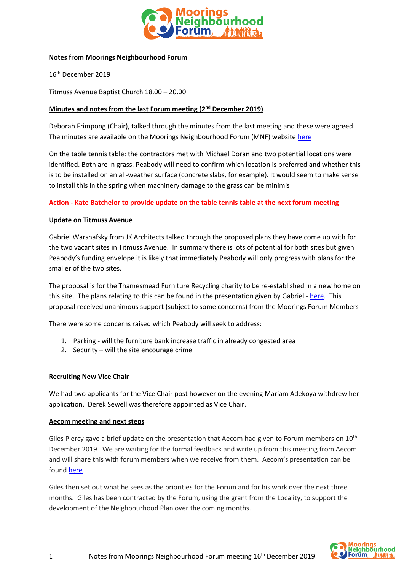

### **Notes from Moorings Neighbourhood Forum**

16th December 2019

Titmuss Avenue Baptist Church 18.00 – 20.00

# **Minutes and notes from the last Forum meeting (2 nd December 2019)**

Deborah Frimpong (Chair), talked through the minutes from the last meeting and these were agreed. The minutes are available on the Moorings Neighbourhood Forum (MNF) websit[e here](http://www.mooringsnf.org.uk/wp-content/uploads/2019/11/MNF-Forum-minutes-28th-Oct-2019-1.pdf)

On the table tennis table: the contractors met with Michael Doran and two potential locations were identified. Both are in grass. Peabody will need to confirm which location is preferred and whether this is to be installed on an all-weather surface (concrete slabs, for example). It would seem to make sense to install this in the spring when machinery damage to the grass can be minimis

### **Action - Kate Batchelor to provide update on the table tennis table at the next forum meeting**

### **Update on Titmuss Avenue**

Gabriel Warshafsky from JK Architects talked through the proposed plans they have come up with for the two vacant sites in Titmuss Avenue. In summary there is lots of potential for both sites but given Peabody's funding envelope it is likely that immediately Peabody will only progress with plans for the smaller of the two sites.

The proposal is for the Thamesmead Furniture Recycling charity to be re-established in a new home on this site. The plans relating to this can be found in the presentation given by Gabriel - [here.](http://www.mooringsnf.org.uk/wp-content/uploads/2019/12/Titmuss-Avenue-Options-1.pdf) This proposal received unanimous support (subject to some concerns) from the Moorings Forum Members

There were some concerns raised which Peabody will seek to address:

- 1. Parking will the furniture bank increase traffic in already congested area
- 2. Security will the site encourage crime

#### **Recruiting New Vice Chair**

We had two applicants for the Vice Chair post however on the evening Mariam Adekoya withdrew her application. Derek Sewell was therefore appointed as Vice Chair.

#### **Aecom meeting and next steps**

Giles Piercy gave a brief update on the presentation that Aecom had given to Forum members on  $10^{\text{th}}$ December 2019. We are waiting for the formal feedback and write up from this meeting from Aecom and will share this with forum members when we receive from them. Aecom's presentation can be found [here](http://www.mooringsnf.org.uk/wp-content/uploads/2019/12/Moorings-Forum-Workshop.pdf)

Giles then set out what he sees as the priorities for the Forum and for his work over the next three months. Giles has been contracted by the Forum, using the grant from the Locality, to support the development of the Neighbourhood Plan over the coming months.